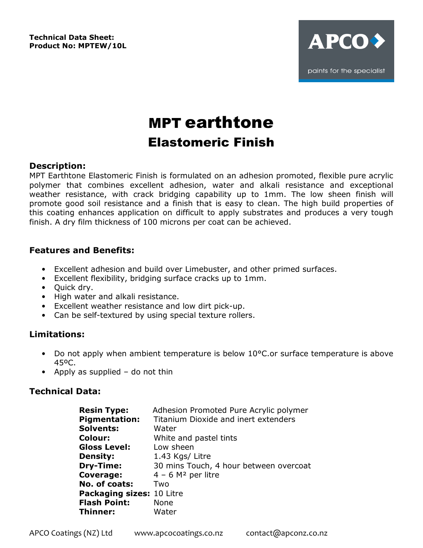**Technical Data Sheet: Product No: MPTEW/10L** 



# MPT earthtone Elastomeric Finish

## **Description:**

MPT Earthtone Elastomeric Finish is formulated on an adhesion promoted, flexible pure acrylic polymer that combines excellent adhesion, water and alkali resistance and exceptional weather resistance, with crack bridging capability up to 1mm. The low sheen finish will promote good soil resistance and a finish that is easy to clean. The high build properties of this coating enhances application on difficult to apply substrates and produces a very tough finish. A dry film thickness of 100 microns per coat can be achieved.

## **Features and Benefits:**

- Excellent adhesion and build over Limebuster, and other primed surfaces.
- Excellent flexibility, bridging surface cracks up to 1mm.
- Ouick dry.
- High water and alkali resistance.
- Excellent weather resistance and low dirt pick-up.
- Can be self-textured by using special texture rollers.

# **Limitations:**

- Do not apply when ambient temperature is below 10°C.or surface temperature is above 45ºC.
- Apply as supplied do not thin

# **Technical Data:**

| <b>Resin Type:</b><br><b>Pigmentation:</b> | Adhesion Promoted Pure Acrylic polymer<br>Titanium Dioxide and inert extenders |
|--------------------------------------------|--------------------------------------------------------------------------------|
| <b>Solvents:</b>                           | Water                                                                          |
| <b>Colour:</b>                             | White and pastel tints                                                         |
| <b>Gloss Level:</b>                        | Low sheen                                                                      |
| <b>Density:</b>                            | 1.43 Kgs/ Litre                                                                |
| Dry-Time:                                  | 30 mins Touch, 4 hour between overcoat                                         |
| Coverage:                                  | $4 - 6$ M <sup>2</sup> per litre                                               |
| No. of coats:                              | Two                                                                            |
| Packaging sizes: 10 Litre                  |                                                                                |
| <b>Flash Point:</b>                        | <b>None</b>                                                                    |
| Thinner:                                   | Water                                                                          |